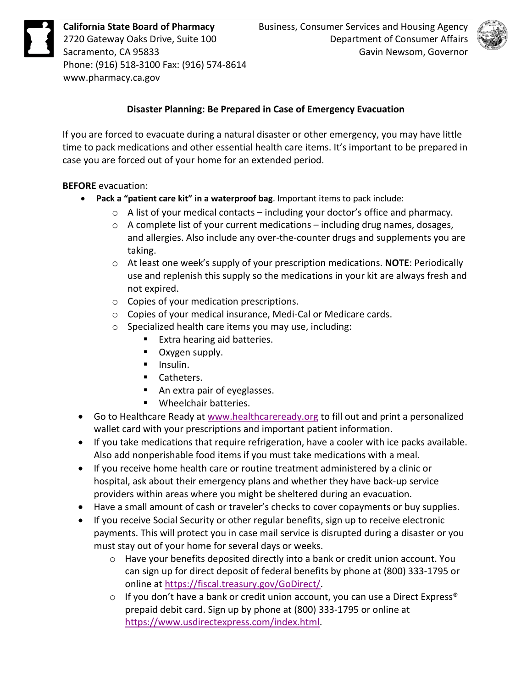

Phone: (916) 518-3100 Fax: (916) 574-8614<br><www.pharmacy.ca.gov>



## **Disaster Planning: Be Prepared in Case of Emergency Evacuation**

 If you are forced to evacuate during a natural disaster or other emergency, you may have little time to pack medications and other essential health care items. It's important to be prepared in case you are forced out of your home for an extended period.

## **BEFORE** evacuation:

- **Pack a "patient care kit" in a waterproof bag**. Important items to pack include:
	- $\circ$  A list of your medical contacts including your doctor's office and pharmacy.
	- $\circ$  A complete list of your current medications including drug names, dosages, and allergies. Also include any over-the-counter drugs and supplements you are taking.
	- o At least one week's supply of your prescription medications. **NOTE**: Periodically use and replenish this supply so the medications in your kit are always fresh and not expired.
	- o Copies of your medication prescriptions.
	- o Copies of your medical insurance, Medi-Cal or Medicare cards.
	- o Specialized health care items you may use, including:
		- **Extra hearing aid batteries.**
		- **Diamage 1** Oxygen supply.
		- $\blacksquare$  Insulin.
		- **Catheters.**
		- An extra pair of eyeglasses.
		- **Number** Wheelchair batteries.
- Go to Healthcare Ready at [www.healthcareready.org](http://www.healthcareready.org/) to fill out and print a personalized wallet card with your prescriptions and important patient information.
- • If you take medications that require refrigeration, have a cooler with ice packs available. Also add nonperishable food items if you must take medications with a meal.
- hospital, ask about their emergency plans and whether they have back-up service • If you receive home health care or routine treatment administered by a clinic or providers within areas where you might be sheltered during an evacuation.
- Have a small amount of cash or traveler's checks to cover copayments or buy supplies.
- If you receive Social Security or other regular benefits, sign up to receive electronic payments. This will protect you in case mail service is disrupted during a disaster or you must stay out of your home for several days or weeks.
	- $\circ$  Have your benefits deposited directly into a bank or credit union account. You can sign up for direct deposit of federal benefits by phone at (800) 333-1795 or online at [https://fiscal.treasury.gov/GoDirect/.](https://fiscal.treasury.gov/GoDirect/)
	- $\circ$  If you don't have a bank or credit union account, you can use a Direct Express® prepaid debit card. Sign up by phone at (800) 333-1795 or online at [https://www.usdirectexpress.com/index.html.](https://www.usdirectexpress.com/index.html)